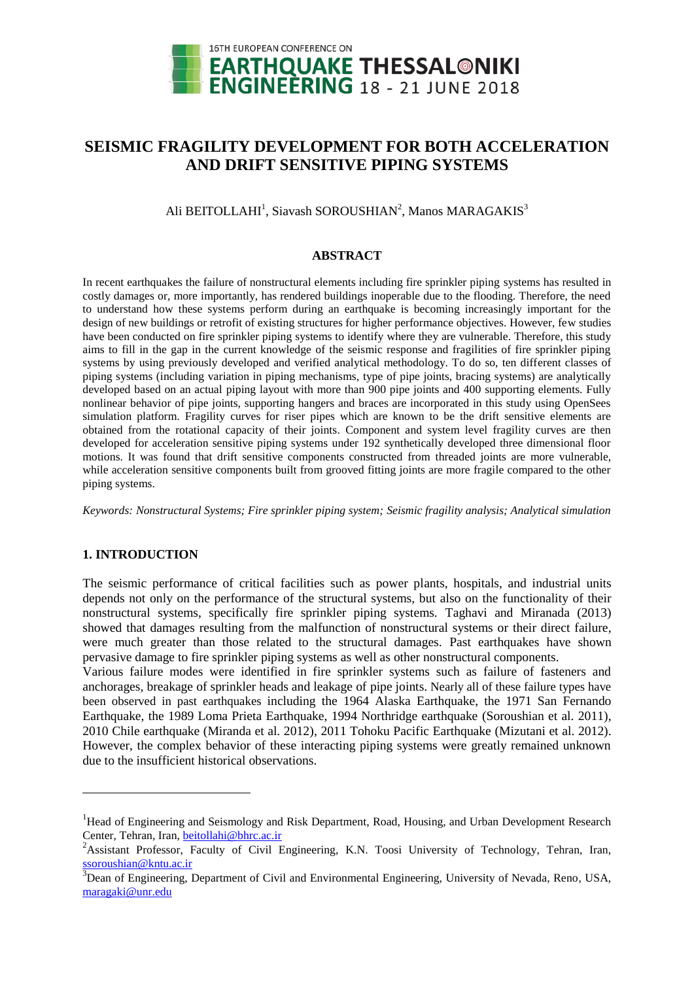

# **SEISMIC FRAGILITY DEVELOPMENT FOR BOTH ACCELERATION AND DRIFT SENSITIVE PIPING SYSTEMS**

Ali BEITOLLAHI<sup>1</sup>, Siavash SOROUSHIAN<sup>2</sup>, Manos MARAGAKIS<sup>3</sup>

## **ABSTRACT**

In recent earthquakes the failure of nonstructural elements including fire sprinkler piping systems has resulted in costly damages or, more importantly, has rendered buildings inoperable due to the flooding. Therefore, the need to understand how these systems perform during an earthquake is becoming increasingly important for the design of new buildings or retrofit of existing structures for higher performance objectives. However, few studies have been conducted on fire sprinkler piping systems to identify where they are vulnerable. Therefore, this study aims to fill in the gap in the current knowledge of the seismic response and fragilities of fire sprinkler piping systems by using previously developed and verified analytical methodology. To do so, ten different classes of piping systems (including variation in piping mechanisms, type of pipe joints, bracing systems) are analytically developed based on an actual piping layout with more than 900 pipe joints and 400 supporting elements. Fully nonlinear behavior of pipe joints, supporting hangers and braces are incorporated in this study using OpenSees simulation platform. Fragility curves for riser pipes which are known to be the drift sensitive elements are obtained from the rotational capacity of their joints. Component and system level fragility curves are then developed for acceleration sensitive piping systems under 192 synthetically developed three dimensional floor motions. It was found that drift sensitive components constructed from threaded joints are more vulnerable, while acceleration sensitive components built from grooved fitting joints are more fragile compared to the other piping systems.

*Keywords: Nonstructural Systems; Fire sprinkler piping system; Seismic fragility analysis; Analytical simulation*

# **1. INTRODUCTION**

l

The seismic performance of critical facilities such as power plants, hospitals, and industrial units depends not only on the performance of the structural systems, but also on the functionality of their nonstructural systems, specifically fire sprinkler piping systems. Taghavi and Miranada (2013) showed that damages resulting from the malfunction of nonstructural systems or their direct failure, were much greater than those related to the structural damages. Past earthquakes have shown pervasive damage to fire sprinkler piping systems as well as other nonstructural components.

Various failure modes were identified in fire sprinkler systems such as failure of fasteners and anchorages, breakage of sprinkler heads and leakage of pipe joints. Nearly all of these failure types have been observed in past earthquakes including the 1964 Alaska Earthquake, the 1971 San Fernando Earthquake, the 1989 Loma Prieta Earthquake, 1994 Northridge earthquake (Soroushian et al. 2011), 2010 Chile earthquake (Miranda et al. 2012), 2011 Tohoku Pacific Earthquake (Mizutani et al. 2012). However, the complex behavior of these interacting piping systems were greatly remained unknown due to the insufficient historical observations.

<sup>&</sup>lt;sup>1</sup>Head of Engineering and Seismology and Risk Department, Road, Housing, and Urban Development Research Center, Tehran, Iran, [beitollahi@bhrc.ac.ir](mailto:beitollahi@bhrc.ac.ir)

<sup>&</sup>lt;sup>2</sup>Assistant Professor, Faculty of Civil Engineering, K.N. Toosi University of Technology, Tehran, Iran, [ssoroushian@kntu.ac.ir](mailto:ssoroushian@kntu.ac.ir)

<sup>&</sup>lt;sup>3</sup>Dean of Engineering, Department of Civil and Environmental Engineering, University of Nevada, Reno, USA, maragaki@unr.edu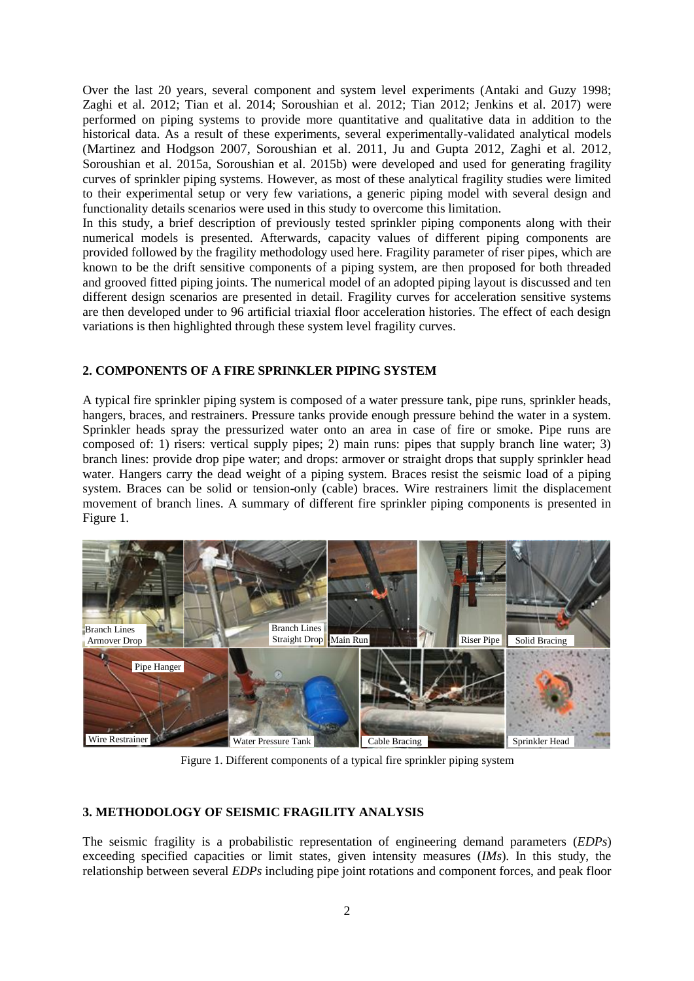Over the last 20 years, several component and system level experiments (Antaki and Guzy 1998; Zaghi et al. 2012; Tian et al. 2014; Soroushian et al. 2012; Tian 2012; Jenkins et al. 2017) were performed on piping systems to provide more quantitative and qualitative data in addition to the historical data. As a result of these experiments, several experimentally-validated analytical models (Martinez and Hodgson 2007, Soroushian et al. 2011, Ju and Gupta 2012, Zaghi et al. 2012, Soroushian et al. 2015a, Soroushian et al. 2015b) were developed and used for generating fragility curves of sprinkler piping systems. However, as most of these analytical fragility studies were limited to their experimental setup or very few variations, a generic piping model with several design and functionality details scenarios were used in this study to overcome this limitation.

In this study, a brief description of previously tested sprinkler piping components along with their numerical models is presented. Afterwards, capacity values of different piping components are provided followed by the fragility methodology used here. Fragility parameter of riser pipes, which are known to be the drift sensitive components of a piping system, are then proposed for both threaded and grooved fitted piping joints. The numerical model of an adopted piping layout is discussed and ten different design scenarios are presented in detail. Fragility curves for acceleration sensitive systems are then developed under to 96 artificial triaxial floor acceleration histories. The effect of each design variations is then highlighted through these system level fragility curves.

# **2. COMPONENTS OF A FIRE SPRINKLER PIPING SYSTEM**

A typical fire sprinkler piping system is composed of a water pressure tank, pipe runs, sprinkler heads, hangers, braces, and restrainers. Pressure tanks provide enough pressure behind the water in a system. Sprinkler heads spray the pressurized water onto an area in case of fire or smoke. Pipe runs are composed of: 1) risers: vertical supply pipes; 2) main runs: pipes that supply branch line water; 3) branch lines: provide drop pipe water; and drops: armover or straight drops that supply sprinkler head water. Hangers carry the dead weight of a piping system. Braces resist the seismic load of a piping system. Braces can be solid or tension-only (cable) braces. Wire restrainers limit the displacement movement of branch lines. A summary of different fire sprinkler piping components is presented in Figure 1.



Figure 1. Different components of a typical fire sprinkler piping system

### **3. METHODOLOGY OF SEISMIC FRAGILITY ANALYSIS**

The seismic fragility is a probabilistic representation of engineering demand parameters (*EDPs*) exceeding specified capacities or limit states, given intensity measures (*IMs*). In this study, the relationship between several *EDPs* including pipe joint rotations and component forces, and peak floor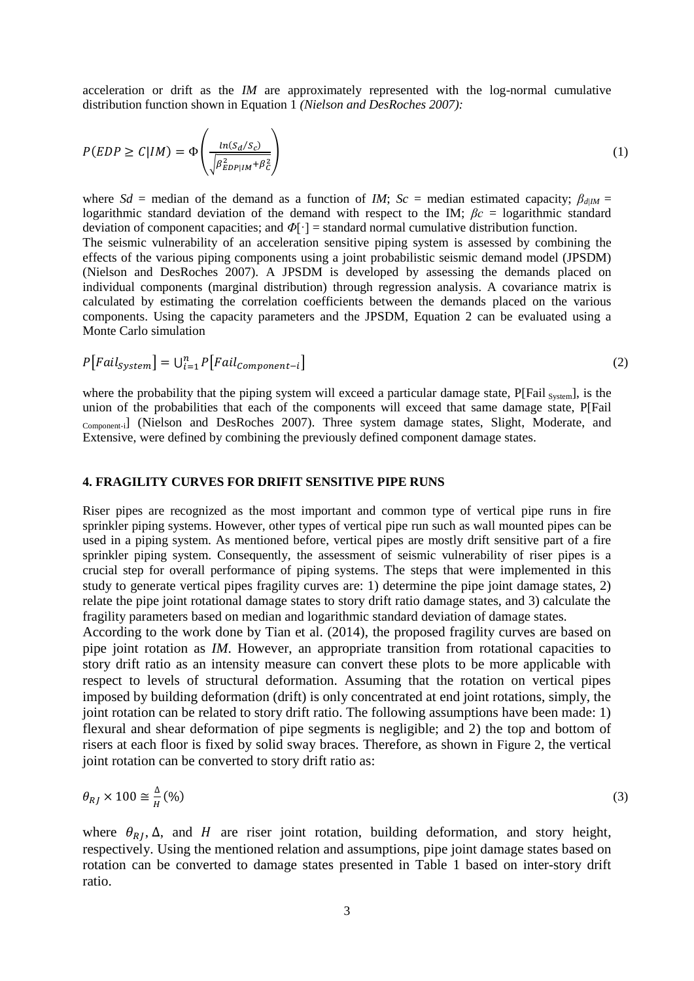acceleration or drift as the *IM* are approximately represented with the log-normal cumulative distribution function shown in Equation 1 *(Nielson and DesRoches 2007):*

$$
P(EDP \ge C | IM) = \Phi\left(\frac{\ln(S_d/S_c)}{\sqrt{\beta_{EDP|IM}^2 + \beta_c^2}}\right)
$$
\n(1)

where  $Sd$  = median of the demand as a function of *IM*;  $Sc$  = median estimated capacity;  $\beta_{dIM}$  = logarithmic standard deviation of the demand with respect to the IM; *βc* = logarithmic standard deviation of component capacities; and *Φ*[·] = standard normal cumulative distribution function. The seismic vulnerability of an acceleration sensitive piping system is assessed by combining the effects of the various piping components using a joint probabilistic seismic demand model (JPSDM) (Nielson and DesRoches 2007). A JPSDM is developed by assessing the demands placed on individual components (marginal distribution) through regression analysis. A covariance matrix is calculated by estimating the correlation coefficients between the demands placed on the various components. Using the capacity parameters and the JPSDM, Equation 2 can be evaluated using a Monte Carlo simulation

$$
P\big[Tail_{System}\big] = \bigcup_{i=1}^{n} P\big[Tail_{Component-i}\big] \tag{2}
$$

where the probability that the piping system will exceed a particular damage state,  $P[{\rm Fail}_{\rm System}]$ , is the union of the probabilities that each of the components will exceed that same damage state, P[Fail Component-i] (Nielson and DesRoches 2007). Three system damage states, Slight, Moderate, and Extensive, were defined by combining the previously defined component damage states.

### **4. FRAGILITY CURVES FOR DRIFIT SENSITIVE PIPE RUNS**

Riser pipes are recognized as the most important and common type of vertical pipe runs in fire sprinkler piping systems. However, other types of vertical pipe run such as wall mounted pipes can be used in a piping system. As mentioned before, vertical pipes are mostly drift sensitive part of a fire sprinkler piping system. Consequently, the assessment of seismic vulnerability of riser pipes is a crucial step for overall performance of piping systems. The steps that were implemented in this study to generate vertical pipes fragility curves are: 1) determine the pipe joint damage states, 2) relate the pipe joint rotational damage states to story drift ratio damage states, and 3) calculate the fragility parameters based on median and logarithmic standard deviation of damage states.

According to the work done by Tian et al. (2014), the proposed fragility curves are based on pipe joint rotation as *IM*. However, an appropriate transition from rotational capacities to story drift ratio as an intensity measure can convert these plots to be more applicable with respect to levels of structural deformation. Assuming that the rotation on vertical pipes imposed by building deformation (drift) is only concentrated at end joint rotations, simply, the joint rotation can be related to story drift ratio. The following assumptions have been made: 1) flexural and shear deformation of pipe segments is negligible; and 2) the top and bottom of risers at each floor is fixed by solid sway braces. Therefore, as shown in Figure 2, the vertical joint rotation can be converted to story drift ratio as:

$$
\theta_{RJ} \times 100 \cong \frac{\Delta}{H} (\% )
$$
\n<sup>(3)</sup>

where  $\theta_{RI}$ ,  $\Delta$ , and H are riser joint rotation, building deformation, and story height, respectively. Using the mentioned relation and assumptions, pipe joint damage states based on rotation can be converted to damage states presented in Table 1 based on inter-story drift ratio.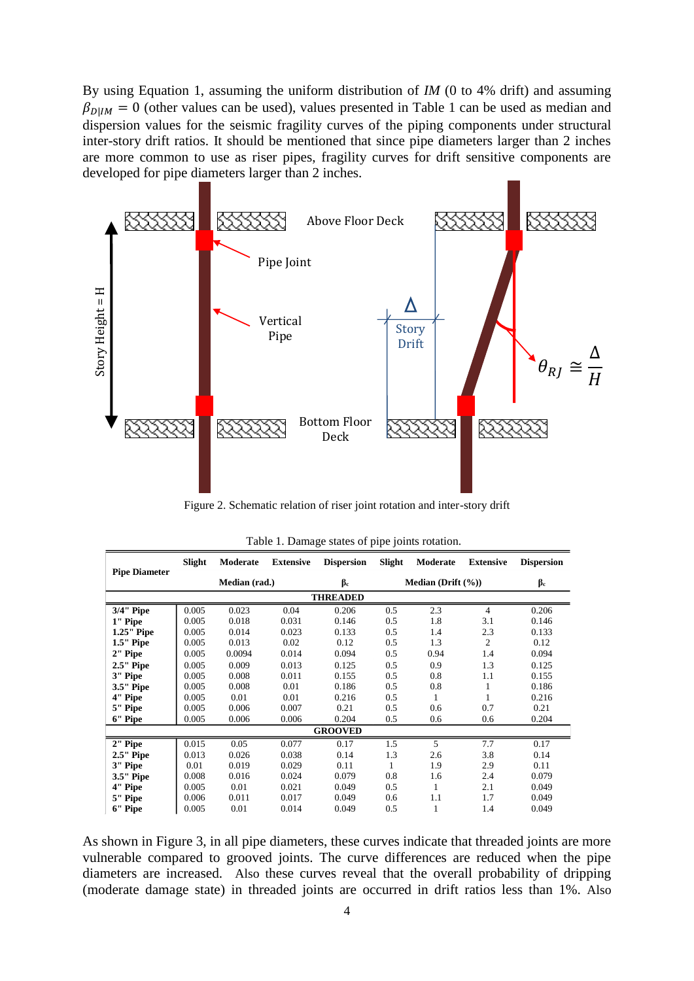By using Equation 1, assuming the uniform distribution of *IM* (0 to 4% drift) and assuming  $\beta_{DIM} = 0$  (other values can be used), values presented in Table 1 can be used as median and dispersion values for the seismic fragility curves of the piping components under structural inter-story drift ratios. It should be mentioned that since pipe diameters larger than 2 inches are more common to use as riser pipes, fragility curves for drift sensitive components are developed for pipe diameters larger than 2 inches.



Figure 2. Schematic relation of riser joint rotation and inter-story drift

|                                                       |                |                | Pipe             | <b>Bottom Floor</b><br>Deck                                                |            | Story<br>Drift |                    | $\theta_{RJ}$     |
|-------------------------------------------------------|----------------|----------------|------------------|----------------------------------------------------------------------------|------------|----------------|--------------------|-------------------|
|                                                       |                |                |                  | Figure 2. Schematic relation of riser joint rotation and inter-story drift |            |                |                    |                   |
|                                                       |                |                |                  | Table 1. Damage states of pipe joints rotation.                            |            |                |                    |                   |
| <b>Pipe Diameter</b>                                  | Slight         | Moderate       | <b>Extensive</b> | <b>Dispersion</b>                                                          | Slight     | Moderate       | <b>Extensive</b>   | <b>Dispersion</b> |
|                                                       |                | Median (rad.)  |                  | $\beta_c$                                                                  |            |                | Median (Drift (%)) |                   |
|                                                       |                |                |                  | <b>THREADED</b>                                                            |            |                |                    |                   |
| 3/4" Pipe                                             | 0.005          | 0.023          | 0.04             | 0.206                                                                      | 0.5        | 2.3            | $\overline{4}$     | 0.206             |
| 1" Pipe<br>1.25" Pipe                                 | 0.005<br>0.005 | 0.018<br>0.014 | 0.031<br>0.023   | 0.146<br>0.133                                                             | 0.5<br>0.5 | 1.8<br>1.4     | 3.1<br>2.3         | 0.146<br>0.133    |
|                                                       |                | 0.013          | 0.02             | 0.12                                                                       | 0.5        | 1.3            | 2                  | 0.12              |
|                                                       |                |                |                  |                                                                            |            |                |                    |                   |
|                                                       | 0.005          |                |                  |                                                                            |            |                |                    |                   |
|                                                       | 0.005          | 0.0094         | 0.014            | 0.094                                                                      | 0.5        | 0.94           | 1.4                | 0.094             |
|                                                       | 0.005          | 0.009          | 0.013            | 0.125                                                                      | 0.5        | 0.9            | 1.3                | 0.125             |
| 1.5" Pipe<br>2" Pipe<br>2.5" Pipe<br>3" Pipe          | 0.005          | 0.008          | 0.011            | 0.155                                                                      | 0.5        | 0.8            | 1.1                | 0.155             |
| 3.5" Pipe                                             | 0.005          | 0.008<br>0.01  | 0.01<br>0.01     | 0.186<br>0.216                                                             | 0.5<br>0.5 | 0.8<br>1       | 1<br>1             | 0.186<br>0.216    |
|                                                       | 0.005<br>0.005 | 0.006          | 0.007            | 0.21                                                                       | 0.5        | 0.6            | 0.7                | 0.21              |
|                                                       | 0.005          | 0.006          | 0.006            | 0.204                                                                      | 0.5        | 0.6            | 0.6                | 0.204             |
|                                                       |                |                |                  | <b>GROOVED</b>                                                             |            |                |                    |                   |
|                                                       | 0.015          | 0.05           | 0.077            | 0.17                                                                       | 1.5        | 5              | 7.7                | 0.17              |
| 4" Pipe<br>5" Pipe<br>6" Pipe<br>2" Pipe<br>2.5" Pipe | 0.013          | 0.026          | 0.038            | 0.14                                                                       | 1.3        | 2.6            | 3.8                | 0.14              |
| 3" Pipe                                               | 0.01           | 0.019          | 0.029            | 0.11                                                                       | 1          | 1.9            | 2.9                | 0.11              |
| 3.5" Pipe                                             | 0.008          | 0.016          | 0.024            | 0.079                                                                      | 0.8        | 1.6            | 2.4                | 0.079             |
| 4" Pipe<br>5" Pipe                                    | 0.005<br>0.006 | 0.01<br>0.011  | 0.021<br>0.017   | 0.049<br>0.049                                                             | 0.5<br>0.6 | 1<br>1.1       | 2.1<br>1.7         | 0.049<br>0.049    |

|  | Table 1. Damage states of pipe joints rotation. |  |  |  |
|--|-------------------------------------------------|--|--|--|
|  |                                                 |  |  |  |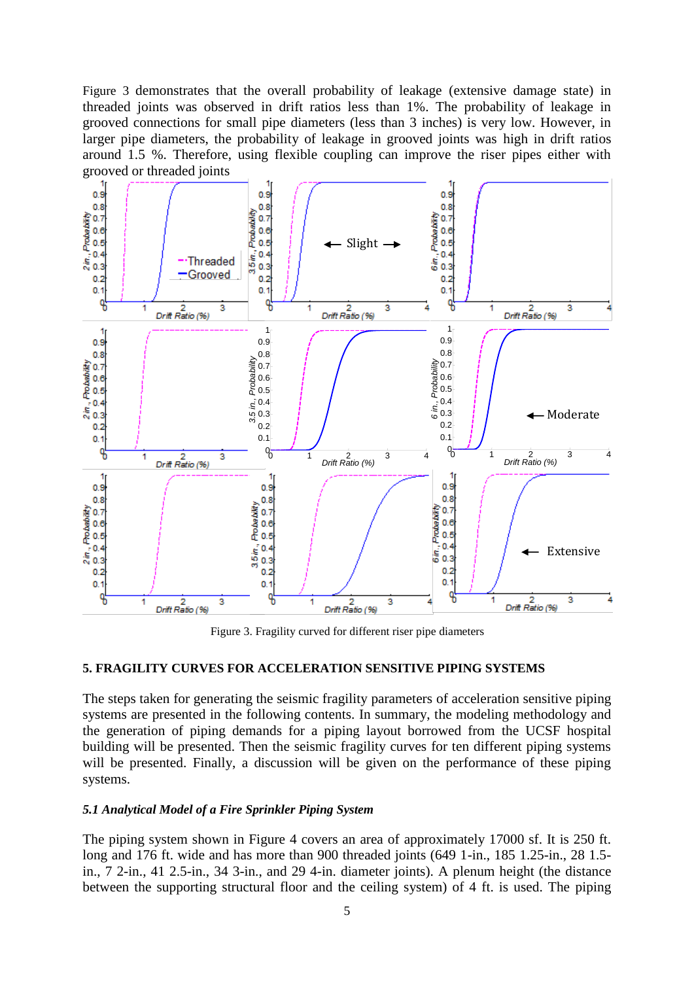Figure 3 demonstrates that the overall probability of leakage (extensive damage state) in threaded joints was observed in drift ratios less than 1%. The probability of leakage in grooved connections for small pipe diameters (less than 3 inches) is very low. However, in larger pipe diameters, the probability of leakage in grooved joints was high in drift ratios around 1.5 %. Therefore, using flexible coupling can improve the riser pipes either with grooved or threaded joints



Figure 3. Fragility curved for different riser pipe diameters

# **5. FRAGILITY CURVES FOR ACCELERATION SENSITIVE PIPING SYSTEMS**

The steps taken for generating the seismic fragility parameters of acceleration sensitive piping systems are presented in the following contents. In summary, the modeling methodology and the generation of piping demands for a piping layout borrowed from the UCSF hospital building will be presented. Then the seismic fragility curves for ten different piping systems will be presented. Finally, a discussion will be given on the performance of these piping systems.

# *5.1 Analytical Model of a Fire Sprinkler Piping System*

The piping system shown in Figure 4 covers an area of approximately 17000 sf. It is 250 ft. long and 176 ft. wide and has more than 900 threaded joints (649 1-in., 185 1.25-in., 28 1.5 in., 7 2-in., 41 2.5-in., 34 3-in., and 29 4-in. diameter joints). A plenum height (the distance between the supporting structural floor and the ceiling system) of 4 ft. is used. The piping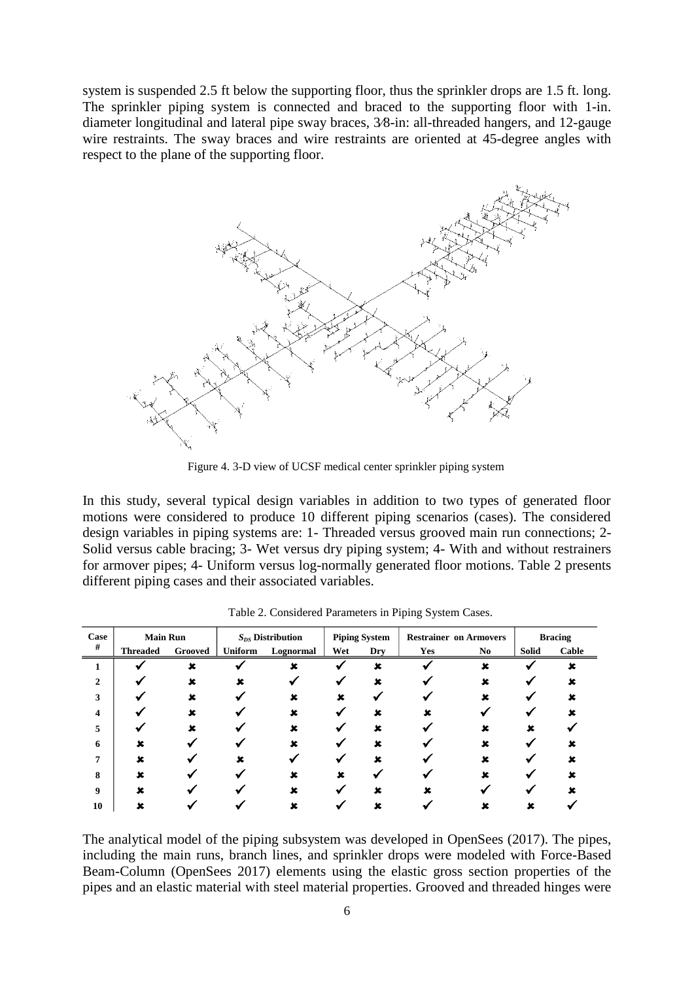system is suspended 2.5 ft below the supporting floor, thus the sprinkler drops are 1.5 ft. long. The sprinkler piping system is connected and braced to the supporting floor with 1-in. diameter longitudinal and lateral pipe sway braces, 3∕8-in: all-threaded hangers, and 12-gauge wire restraints. The sway braces and wire restraints are oriented at 45-degree angles with respect to the plane of the supporting floor.



Figure 4. 3-D view of UCSF medical center sprinkler piping system

In this study, several typical design variables in addition to two types of generated floor motions were considered to produce 10 different piping scenarios (cases). The considered design variables in piping systems are: 1- Threaded versus grooved main run connections; 2- Solid versus cable bracing; 3- Wet versus dry piping system; 4- With and without restrainers for armover pipes; 4- Uniform versus log-normally generated floor motions. Table 2 presents different piping cases and their associated variables.

| Case         | <b>Main Run</b> |         | $S_{DS}$ Distribution |           | <b>Piping System</b> |             | <b>Restrainer on Armovers</b> |                | <b>Bracing</b> |       |
|--------------|-----------------|---------|-----------------------|-----------|----------------------|-------------|-------------------------------|----------------|----------------|-------|
| #            | <b>Threaded</b> | Grooved | Uniform               | Lognormal | Wet                  | <b>Dry</b>  | Yes                           | N <sub>0</sub> | <b>Solid</b>   | Cable |
|              |                 | x       |                       | x         |                      | $\mathbf x$ |                               | $\mathbf x$    |                | x     |
| $\mathbf{2}$ |                 |         |                       |           |                      |             |                               |                |                |       |
| 3            |                 | ×       |                       | ×         | ×                    |             |                               | ×              |                |       |
| 4            |                 |         |                       |           |                      |             |                               |                |                |       |
| 5            |                 |         |                       |           |                      |             |                               |                |                |       |
| 6            | ×               |         |                       | ×         |                      |             |                               | ×              |                |       |
| 7            | ×               |         |                       |           |                      |             |                               |                |                |       |
| 8            | ĸ               |         |                       |           |                      |             |                               |                |                |       |
| 9            |                 |         |                       |           |                      |             |                               |                |                |       |
| 10           |                 |         |                       |           |                      |             |                               |                |                |       |

Table 2. Considered Parameters in Piping System Cases.

The analytical model of the piping subsystem was developed in OpenSees (2017). The pipes, including the main runs, branch lines, and sprinkler drops were modeled with Force-Based Beam-Column (OpenSees 2017) elements using the elastic gross section properties of the pipes and an elastic material with steel material properties. Grooved and threaded hinges were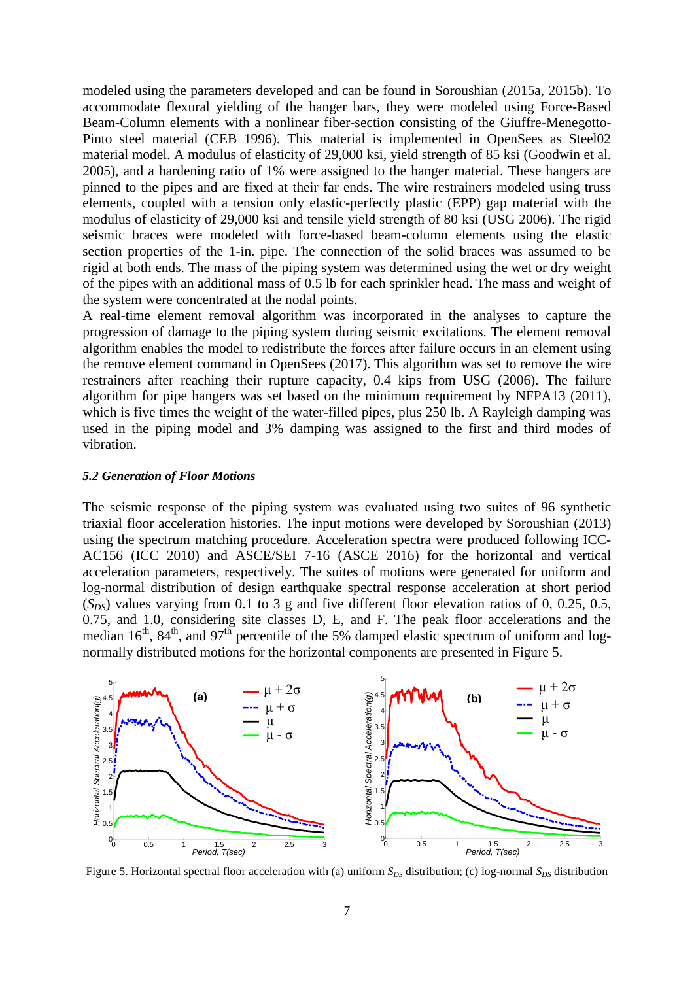modeled using the parameters developed and can be found in Soroushian (2015a, 2015b). To accommodate flexural yielding of the hanger bars, they were modeled using Force-Based Beam-Column elements with a nonlinear fiber-section consisting of the Giuffre-Menegotto-Pinto steel material (CEB 1996). This material is implemented in OpenSees as Steel02 material model. A modulus of elasticity of 29,000 ksi, yield strength of 85 ksi (Goodwin et al. 2005), and a hardening ratio of 1% were assigned to the hanger material. These hangers are pinned to the pipes and are fixed at their far ends. The wire restrainers modeled using truss elements, coupled with a tension only elastic-perfectly plastic (EPP) gap material with the modulus of elasticity of 29,000 ksi and tensile yield strength of 80 ksi (USG 2006). The rigid seismic braces were modeled with force-based beam-column elements using the elastic section properties of the 1-in. pipe. The connection of the solid braces was assumed to be rigid at both ends. The mass of the piping system was determined using the wet or dry weight of the pipes with an additional mass of 0.5 lb for each sprinkler head. The mass and weight of the system were concentrated at the nodal points.

A real-time element removal algorithm was incorporated in the analyses to capture the progression of damage to the piping system during seismic excitations. The element removal algorithm enables the model to redistribute the forces after failure occurs in an element using the remove element command in OpenSees (2017). This algorithm was set to remove the wire restrainers after reaching their rupture capacity, 0.4 kips from USG (2006). The failure algorithm for pipe hangers was set based on the minimum requirement by NFPA13 (2011), which is five times the weight of the water-filled pipes, plus 250 lb. A Rayleigh damping was used in the piping model and 3% damping was assigned to the first and third modes of vibration.

#### *5.2 Generation of Floor Motions*

The seismic response of the piping system was evaluated using two suites of 96 synthetic triaxial floor acceleration histories. The input motions were developed by Soroushian (2013) using the spectrum matching procedure. Acceleration spectra were produced following ICC-AC156 (ICC 2010) and ASCE/SEI 7-16 (ASCE 2016) for the horizontal and vertical acceleration parameters, respectively. The suites of motions were generated for uniform and log-normal distribution of design earthquake spectral response acceleration at short period (*SDS*) values varying from 0.1 to 3 g and five different floor elevation ratios of 0, 0.25, 0.5, 0.75, and 1.0, considering site classes D, E, and F. The peak floor accelerations and the  $(0.75, 0.44)$  and 1.0, considering site classes D, E, and F. The peak froor accelerations and the median  $16<sup>th</sup>$ ,  $84<sup>th</sup>$ , and  $97<sup>th</sup>$  percentile of the 5% damped elastic spectrum of uniform and lognormally distributed motions for the horizontal components are presented in Figure 5. distributed motions for the horizontal components are p of the 5% damped elastic spectrum of uniform and log-Equal the peak floor accelerations and the pastic spectrum of uniform and log-<br>the propresented in Figure 5  $\mathcal{L}_{\text{max}}$  and  $\mathcal{L}_{\text{max}}$  $\mathbf{r} = \mathbf{r} \cdot \mathbf{r}$ astic spectrum of uniform and  $log$ -4.5



Figure 5. Horizontal spectral floor acceleration with (a) uniform  $S_{DS}$  distribution; (c) log-normal  $S_{DS}$  distribution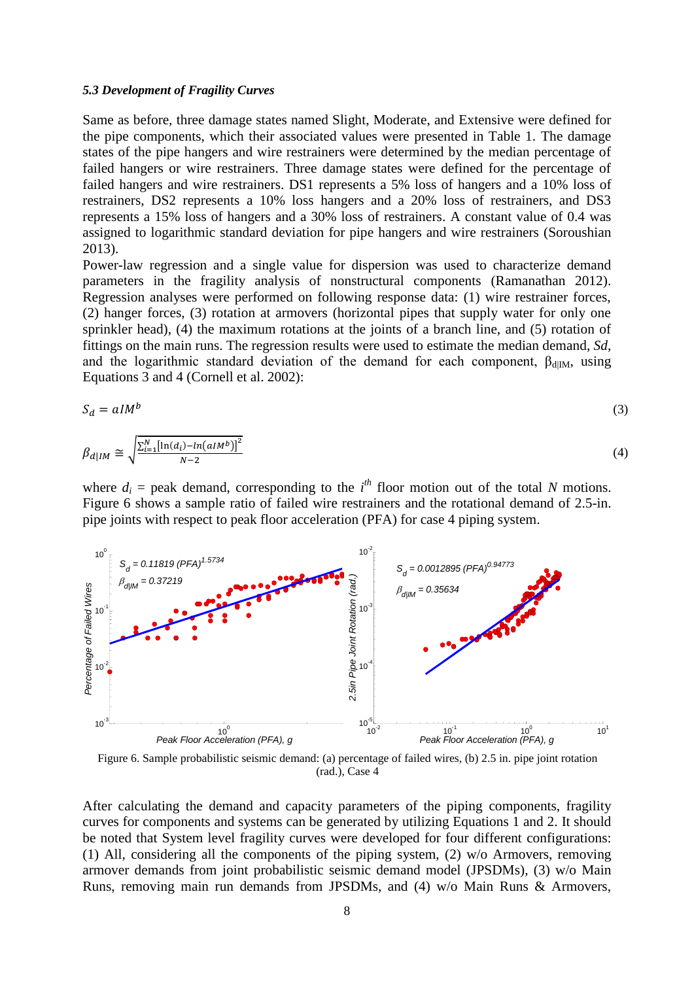### *5.3 Development of Fragility Curves*

Same as before, three damage states named Slight, Moderate, and Extensive were defined for the pipe components, which their associated values were presented in Table 1. The damage states of the pipe hangers and wire restrainers were determined by the median percentage of failed hangers or wire restrainers. Three damage states were defined for the percentage of failed hangers and wire restrainers. DS1 represents a 5% loss of hangers and a 10% loss of restrainers, DS2 represents a 10% loss hangers and a 20% loss of restrainers, and DS3 represents a 15% loss of hangers and a 30% loss of restrainers. A constant value of 0.4 was assigned to logarithmic standard deviation for pipe hangers and wire restrainers (Soroushian 2013).

Power-law regression and a single value for dispersion was used to characterize demand parameters in the fragility analysis of nonstructural components (Ramanathan 2012). Regression analyses were performed on following response data: (1) wire restrainer forces, (2) hanger forces, (3) rotation at armovers (horizontal pipes that supply water for only one sprinkler head), (4) the maximum rotations at the joints of a branch line, and (5) rotation of fittings on the main runs. The regression results were used to estimate the median demand, *Sd*, and the logarithmic standard deviation of the demand for each component,  $\beta_{\text{dIM}}$ , using Equations 3 and 4 (Cornell et al. 2002):

$$
S_d = aI M^b \tag{3}
$$

$$
\beta_{d|IM} \cong \sqrt{\frac{\sum_{i=1}^{N} \left[\ln(d_i) - \ln(aIM^b)\right]^2}{N-2}}
$$
\n(4)

where  $d_i$  = peak demand, corresponding to the  $i^{th}$  floor motion out of the total *N* motions. Figure 6 shows a sample ratio of failed wire restrainers and the rotational demand of 2.5-in. pipe joints with respect to peak floor acceleration (PFA) for case 4 piping system.



Figure 6. Sample probabilistic seismic demand: (a) percentage of failed wires, (b) 2.5 in. pipe joint rotation (rad.), Case 4

After calculating the demand and capacity parameters of the piping components, fragility curves for components and systems can be generated by utilizing Equations 1 and 2. It should be noted that System level fragility curves were developed for four different configurations: (1) All, considering all the components of the piping system, (2) w/o Armovers, removing armover demands from joint probabilistic seismic demand model (JPSDMs), (3) w/o Main Runs, removing main run demands from JPSDMs, and (4) w/o Main Runs & Armovers,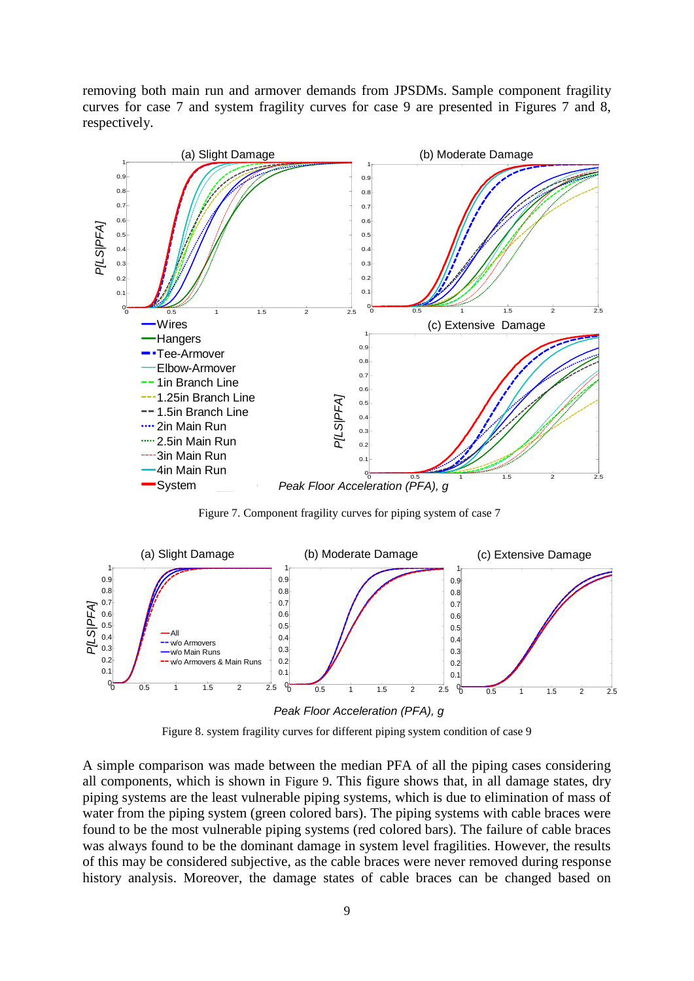removing both main run and armover demands from JPSDMs. Sample component fragility curves for case 7 and system fragility curves for case 9 are presented in Figures 7 and 8, respectively.



Figure 7. Component fragility curves for piping system of case 7



Figure 8. system fragility curves for different piping system condition of case 9

A simple comparison was made between the median PFA of all the piping cases considering all components, which is shown in Figure 9. This figure shows that, in all damage states, dry piping systems are the least vulnerable piping systems, which is due to elimination of mass of water from the piping system (green colored bars). The piping systems with cable braces were found to be the most vulnerable piping systems (red colored bars). The failure of cable braces was always found to be the dominant damage in system level fragilities. However, the results of this may be considered subjective, as the cable braces were never removed during response history analysis. Moreover, the damage states of cable braces can be changed based on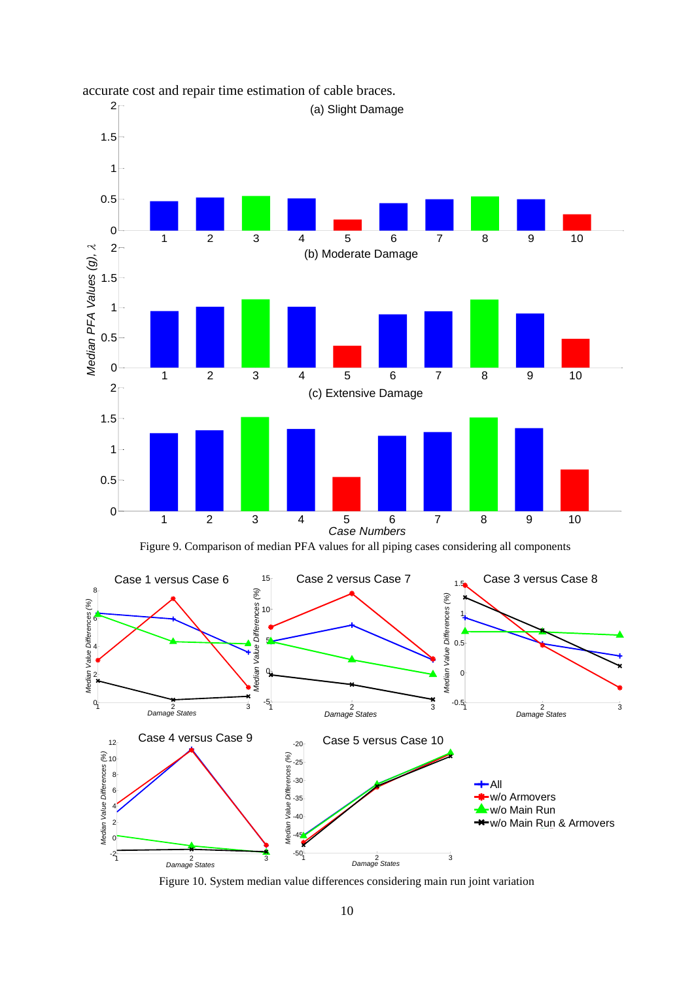

# accurate cost and repair time estimation of cable braces.



Figure 9. Comparison of median PFA values for all piping cases considering all components

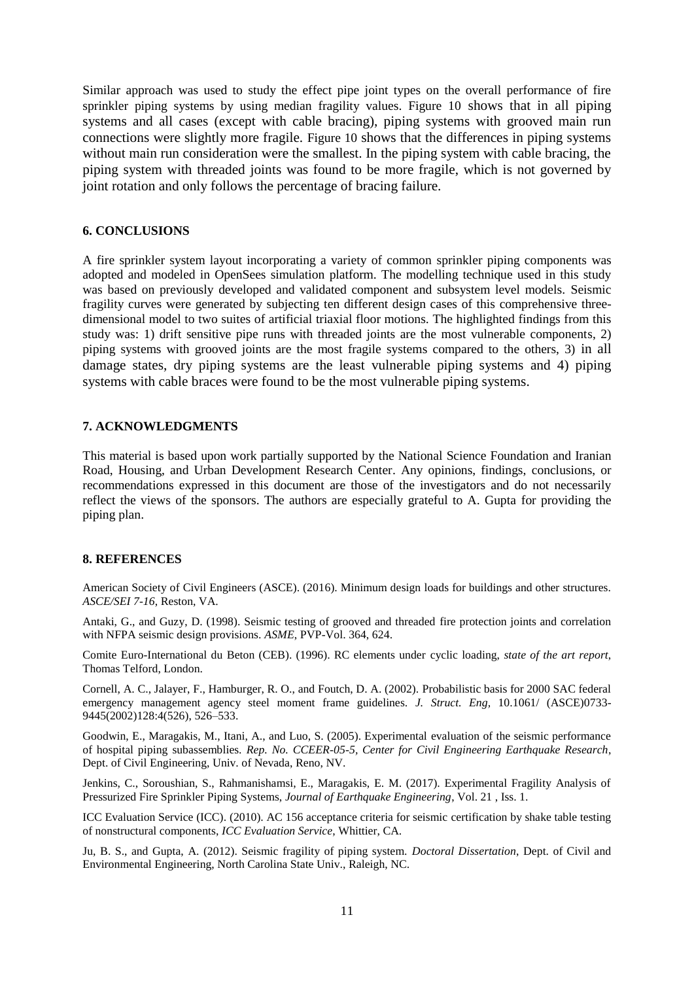Similar approach was used to study the effect pipe joint types on the overall performance of fire sprinkler piping systems by using median fragility values. Figure 10 shows that in all piping systems and all cases (except with cable bracing), piping systems with grooved main run connections were slightly more fragile. Figure 10 shows that the differences in piping systems without main run consideration were the smallest. In the piping system with cable bracing, the piping system with threaded joints was found to be more fragile, which is not governed by joint rotation and only follows the percentage of bracing failure.

## **6. CONCLUSIONS**

A fire sprinkler system layout incorporating a variety of common sprinkler piping components was adopted and modeled in OpenSees simulation platform. The modelling technique used in this study was based on previously developed and validated component and subsystem level models. Seismic fragility curves were generated by subjecting ten different design cases of this comprehensive threedimensional model to two suites of artificial triaxial floor motions. The highlighted findings from this study was: 1) drift sensitive pipe runs with threaded joints are the most vulnerable components, 2) piping systems with grooved joints are the most fragile systems compared to the others, 3) in all damage states, dry piping systems are the least vulnerable piping systems and 4) piping systems with cable braces were found to be the most vulnerable piping systems.

## **7. ACKNOWLEDGMENTS**

This material is based upon work partially supported by the National Science Foundation and Iranian Road, Housing, and Urban Development Research Center. Any opinions, findings, conclusions, or recommendations expressed in this document are those of the investigators and do not necessarily reflect the views of the sponsors. The authors are especially grateful to A. Gupta for providing the piping plan.

### **8. REFERENCES**

American Society of Civil Engineers (ASCE). (2016). Minimum design loads for buildings and other structures. *ASCE/SEI 7-16*, Reston, VA.

Antaki, G., and Guzy, D. (1998). Seismic testing of grooved and threaded fire protection joints and correlation with NFPA seismic design provisions. *ASME*, PVP-Vol. 364, 624.

Comite Euro-International du Beton (CEB). (1996). RC elements under cyclic loading, *state of the art report*, Thomas Telford, London.

Cornell, A. C., Jalayer, F., Hamburger, R. O., and Foutch, D. A. (2002). Probabilistic basis for 2000 SAC federal emergency management agency steel moment frame guidelines. *J. Struct. Eng,* 10.1061/ (ASCE)0733- 9445(2002)128:4(526), 526–533.

Goodwin, E., Maragakis, M., Itani, A., and Luo, S. (2005). Experimental evaluation of the seismic performance of hospital piping subassemblies. *Rep. No. CCEER-05-5, Center for Civil Engineering Earthquake Research*, Dept. of Civil Engineering, Univ. of Nevada, Reno, NV.

Jenkins, C., Soroushian, S., Rahmanishamsi, E., Maragakis, E. M. (2017). Experimental Fragility Analysis of Pressurized Fire Sprinkler Piping Systems, *[Journal of Earthquake Engineering](http://www.tandfonline.com/toc/ueqe20/21/1)*, Vol. 21 , Iss. 1.

ICC Evaluation Service (ICC). (2010). AC 156 acceptance criteria for seismic certification by shake table testing of nonstructural components, *ICC Evaluation Service*, Whittier, CA.

Ju, B. S., and Gupta, A. (2012). Seismic fragility of piping system. *Doctoral Dissertation*, Dept. of Civil and Environmental Engineering, North Carolina State Univ., Raleigh, NC.